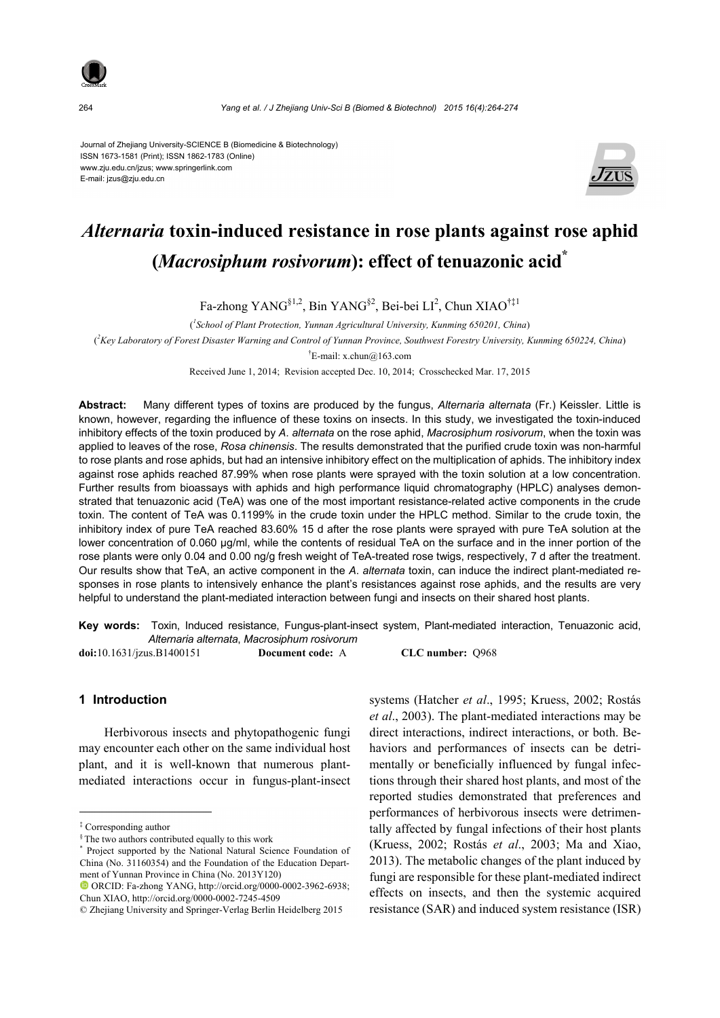

264 *Yang et al. / J Zhejiang Univ-Sci B (Biomed & Biotechnol) 2015 16(4):264-274*

Journal of Zhejiang University-SCIENCE B (Biomedicine & Biotechnology) ISSN 1673-1581 (Print); ISSN 1862-1783 (Online) www.zju.edu.cn/jzus; www.springerlink.com E-mail: jzus@zju.edu.cn



# *Alternaria* **toxin-induced resistance in rose plants against rose aphid (***Macrosiphum rosivorum***): effect of tenuazonic acid\***

Fa-zhong YANG<sup>§1,2</sup>, Bin YANG<sup>§2</sup>, Bei-bei LI<sup>2</sup>, Chun XIAO<sup>†‡1</sup>

( *1 School of Plant Protection, Yunnan Agricultural University, Kunming 650201, China*)

( *2 Key Laboratory of Forest Disaster Warning and Control of Yunnan Province, Southwest Forestry University, Kunming 650224, China*)

† E-mail: x.chun@163.com

Received June 1, 2014; Revision accepted Dec. 10, 2014; Crosschecked Mar. 17, 2015

**Abstract:** Many different types of toxins are produced by the fungus, *Alternaria alternata* (Fr.) Keissler. Little is known, however, regarding the influence of these toxins on insects. In this study, we investigated the toxin-induced inhibitory effects of the toxin produced by *A*. *alternata* on the rose aphid, *Macrosiphum rosivorum*, when the toxin was applied to leaves of the rose, *Rosa chinensis*. The results demonstrated that the purified crude toxin was non-harmful to rose plants and rose aphids, but had an intensive inhibitory effect on the multiplication of aphids. The inhibitory index against rose aphids reached 87.99% when rose plants were sprayed with the toxin solution at a low concentration. Further results from bioassays with aphids and high performance liquid chromatography (HPLC) analyses demonstrated that tenuazonic acid (TeA) was one of the most important resistance-related active components in the crude toxin. The content of TeA was 0.1199% in the crude toxin under the HPLC method. Similar to the crude toxin, the inhibitory index of pure TeA reached 83.60% 15 d after the rose plants were sprayed with pure TeA solution at the lower concentration of 0.060 μg/ml, while the contents of residual TeA on the surface and in the inner portion of the rose plants were only 0.04 and 0.00 ng/g fresh weight of TeA-treated rose twigs, respectively, 7 d after the treatment. Our results show that TeA, an active component in the *A*. *alternata* toxin, can induce the indirect plant-mediated responses in rose plants to intensively enhance the plant's resistances against rose aphids, and the results are very helpful to understand the plant-mediated interaction between fungi and insects on their shared host plants.

**Key words:** Toxin, Induced resistance, Fungus-plant-insect system, Plant-mediated interaction, Tenuazonic acid, *Alternaria alternata*, *Macrosiphum rosivorum*

**doi:**10.1631/jzus.B1400151 **Document code:** A **CLC number:** Q968

## **1 Introduction**

Herbivorous insects and phytopathogenic fungi may encounter each other on the same individual host plant, and it is well-known that numerous plantmediated interactions occur in fungus-plant-insect systems (Hatcher *et al*., 1995; Kruess, 2002; Rostás *et al*., 2003). The plant-mediated interactions may be direct interactions, indirect interactions, or both. Behaviors and performances of insects can be detrimentally or beneficially influenced by fungal infections through their shared host plants, and most of the reported studies demonstrated that preferences and performances of herbivorous insects were detrimentally affected by fungal infections of their host plants (Kruess, 2002; Rostás *et al*., 2003; Ma and Xiao, 2013). The metabolic changes of the plant induced by fungi are responsible for these plant-mediated indirect effects on insects, and then the systemic acquired resistance (SAR) and induced system resistance (ISR)

<sup>‡</sup> Corresponding author

<sup>&</sup>lt;sup>§</sup> The two authors contributed equally to this work

<sup>\*</sup> Project supported by the National Natural Science Foundation of China (No. 31160354) and the Foundation of the Education Department of Yunnan Province in China (No. 2013Y120)

ORCID: Fa-zhong YANG, http://orcid.org/0000-0002-3962-6938; Chun XIAO, http://orcid.org/0000-0002-7245-4509

<sup>©</sup> Zhejiang University and Springer-Verlag Berlin Heidelberg 2015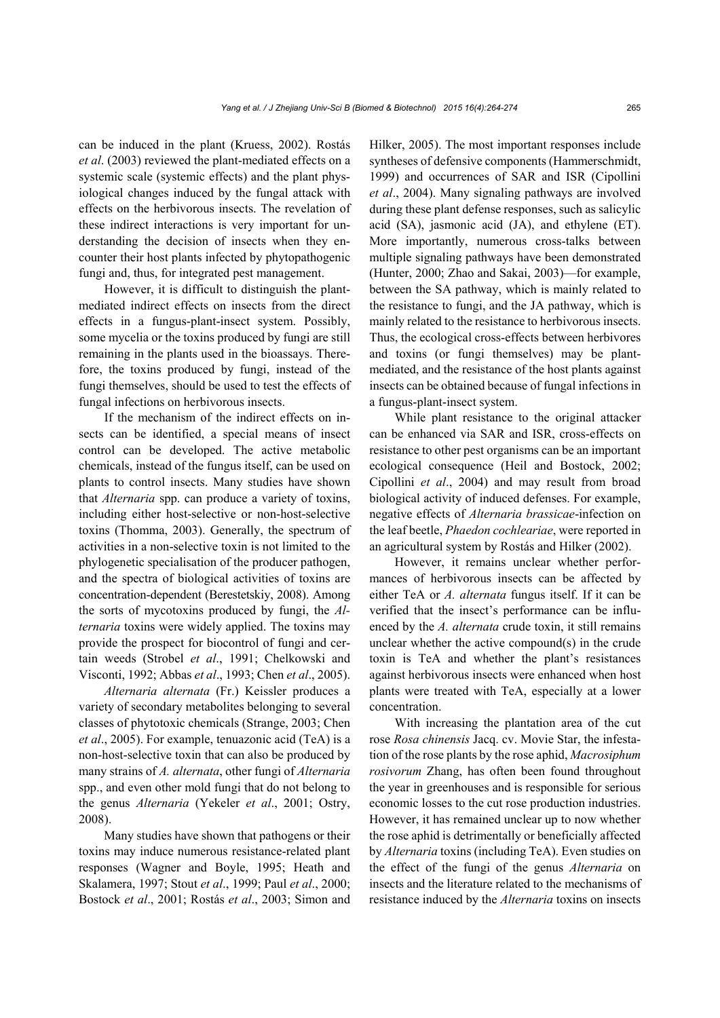can be induced in the plant (Kruess, 2002). Rostás *et al*. (2003) reviewed the plant-mediated effects on a systemic scale (systemic effects) and the plant physiological changes induced by the fungal attack with effects on the herbivorous insects. The revelation of these indirect interactions is very important for understanding the decision of insects when they encounter their host plants infected by phytopathogenic fungi and, thus, for integrated pest management.

However, it is difficult to distinguish the plantmediated indirect effects on insects from the direct effects in a fungus-plant-insect system. Possibly, some mycelia or the toxins produced by fungi are still remaining in the plants used in the bioassays. Therefore, the toxins produced by fungi, instead of the fungi themselves, should be used to test the effects of fungal infections on herbivorous insects.

If the mechanism of the indirect effects on insects can be identified, a special means of insect control can be developed. The active metabolic chemicals, instead of the fungus itself, can be used on plants to control insects. Many studies have shown that *Alternaria* spp. can produce a variety of toxins, including either host-selective or non-host-selective toxins (Thomma, 2003). Generally, the spectrum of activities in a non-selective toxin is not limited to the phylogenetic specialisation of the producer pathogen, and the spectra of biological activities of toxins are concentration-dependent (Berestetskiy, 2008). Among the sorts of mycotoxins produced by fungi, the *Alternaria* toxins were widely applied. The toxins may provide the prospect for biocontrol of fungi and certain weeds (Strobel *et al*., 1991; Chelkowski and Visconti, 1992; Abbas *et al*., 1993; Chen *et al*., 2005).

*Alternaria alternata* (Fr.) Keissler produces a variety of secondary metabolites belonging to several classes of phytotoxic chemicals (Strange, 2003; Chen *et al*., 2005). For example, tenuazonic acid (TeA) is a non-host-selective toxin that can also be produced by many strains of *A. alternata*, other fungi of *Alternaria* spp., and even other mold fungi that do not belong to the genus *Alternaria* (Yekeler *et al*., 2001; Ostry, 2008).

Many studies have shown that pathogens or their toxins may induce numerous resistance-related plant responses (Wagner and Boyle, 1995; Heath and Skalamera, 1997; Stout *et al*., 1999; Paul *et al*., 2000; Bostock *et al*., 2001; Rostás *et al*., 2003; Simon and Hilker, 2005). The most important responses include syntheses of defensive components (Hammerschmidt, 1999) and occurrences of SAR and ISR (Cipollini *et al*., 2004). Many signaling pathways are involved during these plant defense responses, such as salicylic acid (SA), jasmonic acid (JA), and ethylene (ET). More importantly, numerous cross-talks between multiple signaling pathways have been demonstrated (Hunter, 2000; Zhao and Sakai, 2003)—for example, between the SA pathway, which is mainly related to the resistance to fungi, and the JA pathway, which is mainly related to the resistance to herbivorous insects. Thus, the ecological cross-effects between herbivores and toxins (or fungi themselves) may be plantmediated, and the resistance of the host plants against insects can be obtained because of fungal infections in a fungus-plant-insect system.

While plant resistance to the original attacker can be enhanced via SAR and ISR, cross-effects on resistance to other pest organisms can be an important ecological consequence (Heil and Bostock, 2002; Cipollini *et al*., 2004) and may result from broad biological activity of induced defenses. For example, negative effects of *Alternaria brassicae*-infection on the leaf beetle, *Phaedon cochleariae*, were reported in an agricultural system by Rostás and Hilker (2002).

However, it remains unclear whether performances of herbivorous insects can be affected by either TeA or *A. alternata* fungus itself. If it can be verified that the insect's performance can be influenced by the *A. alternata* crude toxin, it still remains unclear whether the active compound(s) in the crude toxin is TeA and whether the plant's resistances against herbivorous insects were enhanced when host plants were treated with TeA, especially at a lower concentration.

With increasing the plantation area of the cut rose *Rosa chinensis* Jacq. cv. Movie Star, the infestation of the rose plants by the rose aphid, *Macrosiphum rosivorum* Zhang, has often been found throughout the year in greenhouses and is responsible for serious economic losses to the cut rose production industries. However, it has remained unclear up to now whether the rose aphid is detrimentally or beneficially affected by *Alternaria* toxins (including TeA). Even studies on the effect of the fungi of the genus *Alternaria* on insects and the literature related to the mechanisms of resistance induced by the *Alternaria* toxins on insects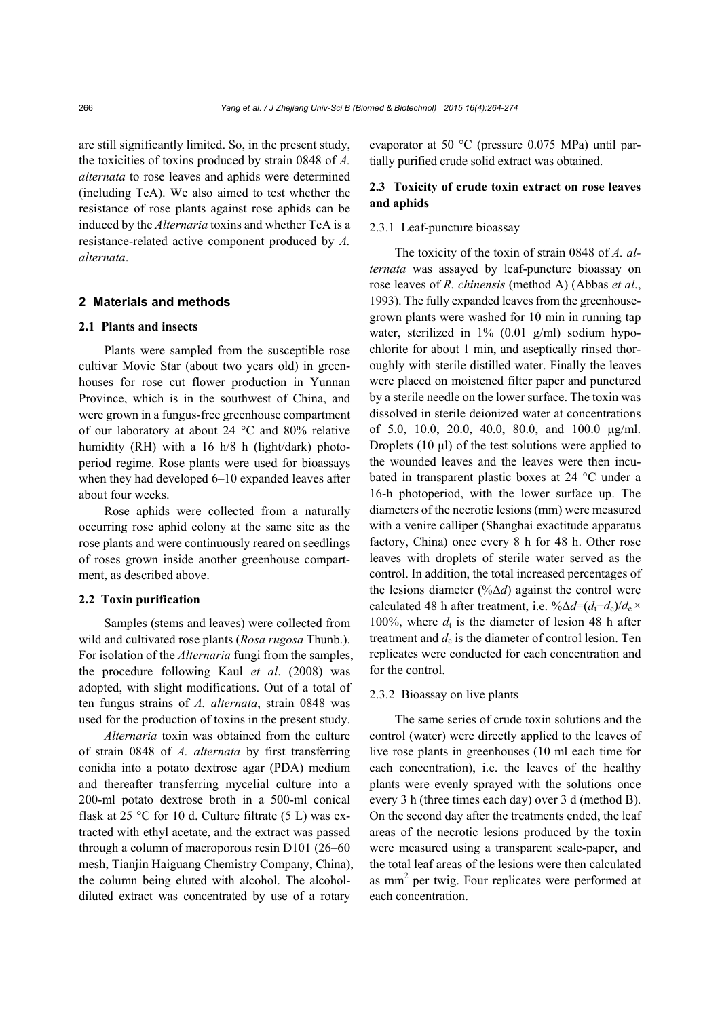are still significantly limited. So, in the present study, the toxicities of toxins produced by strain 0848 of *A. alternata* to rose leaves and aphids were determined (including TeA). We also aimed to test whether the resistance of rose plants against rose aphids can be induced by the *Alternaria* toxins and whether TeA is a resistance-related active component produced by *A. alternata*.

#### **2 Materials and methods**

## **2.1 Plants and insects**

Plants were sampled from the susceptible rose cultivar Movie Star (about two years old) in greenhouses for rose cut flower production in Yunnan Province, which is in the southwest of China, and were grown in a fungus-free greenhouse compartment of our laboratory at about 24 °C and 80% relative humidity (RH) with a 16 h/8 h (light/dark) photoperiod regime. Rose plants were used for bioassays when they had developed 6–10 expanded leaves after about four weeks.

Rose aphids were collected from a naturally occurring rose aphid colony at the same site as the rose plants and were continuously reared on seedlings of roses grown inside another greenhouse compartment, as described above.

#### **2.2 Toxin purification**

Samples (stems and leaves) were collected from wild and cultivated rose plants (*Rosa rugosa* Thunb.). For isolation of the *Alternaria* fungi from the samples, the procedure following Kaul *et al*. (2008) was adopted, with slight modifications. Out of a total of ten fungus strains of *A. alternata*, strain 0848 was used for the production of toxins in the present study.

*Alternaria* toxin was obtained from the culture of strain 0848 of *A. alternata* by first transferring conidia into a potato dextrose agar (PDA) medium and thereafter transferring mycelial culture into a 200-ml potato dextrose broth in a 500-ml conical flask at 25 °C for 10 d. Culture filtrate  $(5 L)$  was extracted with ethyl acetate, and the extract was passed through a column of macroporous resin D101 (26–60 mesh, Tianjin Haiguang Chemistry Company, China), the column being eluted with alcohol. The alcoholdiluted extract was concentrated by use of a rotary

evaporator at 50 °C (pressure 0.075 MPa) until partially purified crude solid extract was obtained.

## **2.3 Toxicity of crude toxin extract on rose leaves and aphids**

#### 2.3.1 Leaf-puncture bioassay

The toxicity of the toxin of strain 0848 of *A. alternata* was assayed by leaf-puncture bioassay on rose leaves of *R. chinensis* (method A) (Abbas *et al*., 1993). The fully expanded leaves from the greenhousegrown plants were washed for 10 min in running tap water, sterilized in  $1\%$  (0.01 g/ml) sodium hypochlorite for about 1 min, and aseptically rinsed thoroughly with sterile distilled water. Finally the leaves were placed on moistened filter paper and punctured by a sterile needle on the lower surface. The toxin was dissolved in sterile deionized water at concentrations of 5.0, 10.0, 20.0, 40.0, 80.0, and 100.0 μg/ml. Droplets  $(10 \mu l)$  of the test solutions were applied to the wounded leaves and the leaves were then incubated in transparent plastic boxes at 24 °C under a 16-h photoperiod, with the lower surface up. The diameters of the necrotic lesions (mm) were measured with a venire calliper (Shanghai exactitude apparatus factory, China) once every 8 h for 48 h. Other rose leaves with droplets of sterile water served as the control. In addition, the total increased percentages of the lesions diameter (%Δ*d*) against the control were calculated 48 h after treatment, i.e. % $\Delta d = (d_t - d_c)/d_c \times$ 100%, where  $d_t$  is the diameter of lesion 48 h after treatment and  $d_c$  is the diameter of control lesion. Ten replicates were conducted for each concentration and for the control.

#### 2.3.2 Bioassay on live plants

The same series of crude toxin solutions and the control (water) were directly applied to the leaves of live rose plants in greenhouses (10 ml each time for each concentration), i.e. the leaves of the healthy plants were evenly sprayed with the solutions once every 3 h (three times each day) over 3 d (method B). On the second day after the treatments ended, the leaf areas of the necrotic lesions produced by the toxin were measured using a transparent scale-paper, and the total leaf areas of the lesions were then calculated as mm<sup>2</sup> per twig. Four replicates were performed at each concentration.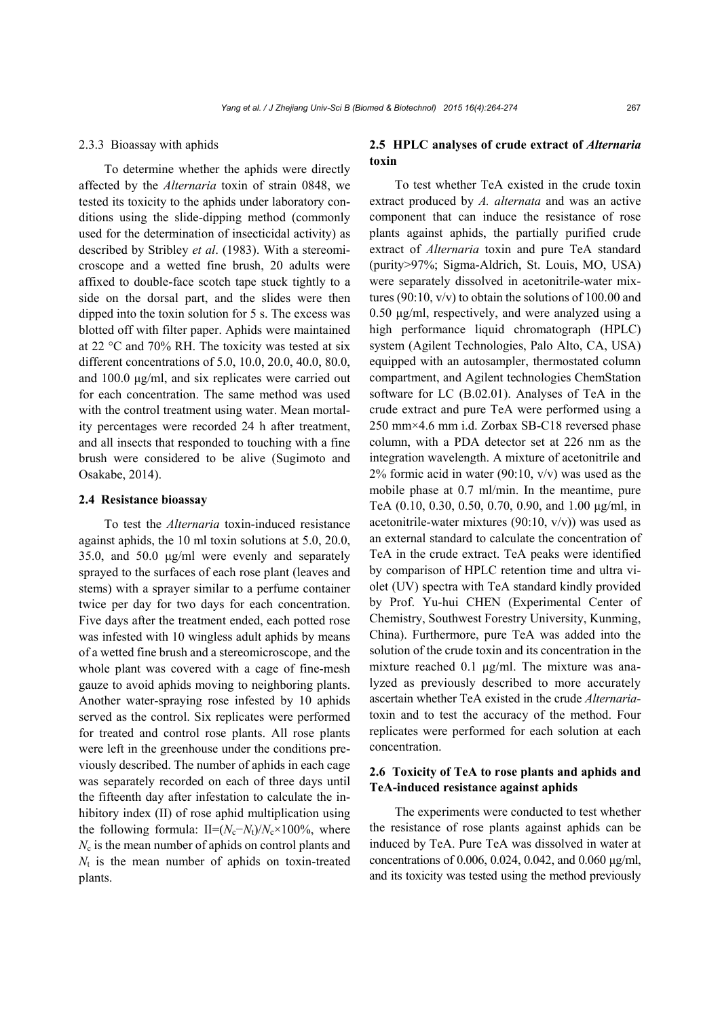2.3.3 Bioassay with aphids

To determine whether the aphids were directly affected by the *Alternaria* toxin of strain 0848, we tested its toxicity to the aphids under laboratory conditions using the slide-dipping method (commonly used for the determination of insecticidal activity) as described by Stribley *et al*. (1983). With a stereomicroscope and a wetted fine brush, 20 adults were affixed to double-face scotch tape stuck tightly to a side on the dorsal part, and the slides were then dipped into the toxin solution for 5 s. The excess was blotted off with filter paper. Aphids were maintained at 22 °C and 70% RH. The toxicity was tested at six different concentrations of 5.0, 10.0, 20.0, 40.0, 80.0, and 100.0 μg/ml, and six replicates were carried out for each concentration. The same method was used with the control treatment using water. Mean mortality percentages were recorded 24 h after treatment, and all insects that responded to touching with a fine brush were considered to be alive (Sugimoto and Osakabe, 2014).

#### **2.4 Resistance bioassay**

To test the *Alternaria* toxin-induced resistance against aphids, the 10 ml toxin solutions at 5.0, 20.0, 35.0, and 50.0 μg/ml were evenly and separately sprayed to the surfaces of each rose plant (leaves and stems) with a sprayer similar to a perfume container twice per day for two days for each concentration. Five days after the treatment ended, each potted rose was infested with 10 wingless adult aphids by means of a wetted fine brush and a stereomicroscope, and the whole plant was covered with a cage of fine-mesh gauze to avoid aphids moving to neighboring plants. Another water-spraying rose infested by 10 aphids served as the control. Six replicates were performed for treated and control rose plants. All rose plants were left in the greenhouse under the conditions previously described. The number of aphids in each cage was separately recorded on each of three days until the fifteenth day after infestation to calculate the inhibitory index (II) of rose aphid multiplication using the following formula:  $II=(N_c-N_t)/N_c \times 100\%$ , where *N*<sup>c</sup> is the mean number of aphids on control plants and  $N_t$  is the mean number of aphids on toxin-treated plants.

## **2.5 HPLC analyses of crude extract of** *Alternaria* **toxin**

To test whether TeA existed in the crude toxin extract produced by *A. alternata* and was an active component that can induce the resistance of rose plants against aphids, the partially purified crude extract of *Alternaria* toxin and pure TeA standard (purity>97%; Sigma-Aldrich, St. Louis, MO, USA) were separately dissolved in acetonitrile-water mixtures (90:10, v/v) to obtain the solutions of 100.00 and 0.50 μg/ml, respectively, and were analyzed using a high performance liquid chromatograph (HPLC) system (Agilent Technologies, Palo Alto, CA, USA) equipped with an autosampler, thermostated column compartment, and Agilent technologies ChemStation software for LC (B.02.01). Analyses of TeA in the crude extract and pure TeA were performed using a 250 mm×4.6 mm i.d. Zorbax SB-C18 reversed phase column, with a PDA detector set at 226 nm as the integration wavelength. A mixture of acetonitrile and  $2\%$  formic acid in water (90:10, v/v) was used as the mobile phase at 0.7 ml/min. In the meantime, pure TeA (0.10, 0.30, 0.50, 0.70, 0.90, and 1.00 μg/ml, in acetonitrile-water mixtures  $(90:10, v/v)$  was used as an external standard to calculate the concentration of TeA in the crude extract. TeA peaks were identified by comparison of HPLC retention time and ultra violet (UV) spectra with TeA standard kindly provided by Prof. Yu-hui CHEN (Experimental Center of Chemistry, Southwest Forestry University, Kunming, China). Furthermore, pure TeA was added into the solution of the crude toxin and its concentration in the mixture reached 0.1 μg/ml. The mixture was analyzed as previously described to more accurately ascertain whether TeA existed in the crude *Alternaria*toxin and to test the accuracy of the method. Four replicates were performed for each solution at each concentration.

## **2.6 Toxicity of TeA to rose plants and aphids and TeA-induced resistance against aphids**

The experiments were conducted to test whether the resistance of rose plants against aphids can be induced by TeA. Pure TeA was dissolved in water at concentrations of 0.006, 0.024, 0.042, and 0.060 μg/ml, and its toxicity was tested using the method previously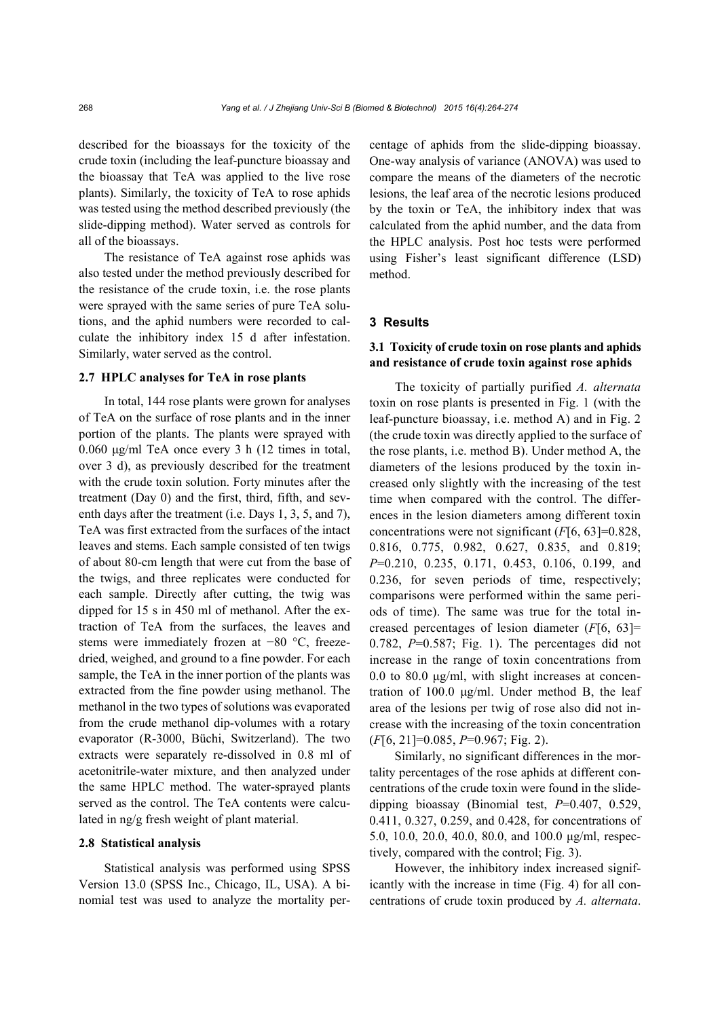described for the bioassays for the toxicity of the crude toxin (including the leaf-puncture bioassay and the bioassay that TeA was applied to the live rose plants). Similarly, the toxicity of TeA to rose aphids was tested using the method described previously (the slide-dipping method). Water served as controls for all of the bioassays.

The resistance of TeA against rose aphids was also tested under the method previously described for the resistance of the crude toxin, i.e. the rose plants were sprayed with the same series of pure TeA solutions, and the aphid numbers were recorded to calculate the inhibitory index 15 d after infestation. Similarly, water served as the control.

#### **2.7 HPLC analyses for TeA in rose plants**

In total, 144 rose plants were grown for analyses of TeA on the surface of rose plants and in the inner portion of the plants. The plants were sprayed with 0.060 μg/ml TeA once every 3 h (12 times in total, over 3 d), as previously described for the treatment with the crude toxin solution. Forty minutes after the treatment (Day 0) and the first, third, fifth, and seventh days after the treatment (i.e. Days 1, 3, 5, and 7), TeA was first extracted from the surfaces of the intact leaves and stems. Each sample consisted of ten twigs of about 80-cm length that were cut from the base of the twigs, and three replicates were conducted for each sample. Directly after cutting, the twig was dipped for 15 s in 450 ml of methanol. After the extraction of TeA from the surfaces, the leaves and stems were immediately frozen at −80 °C, freezedried, weighed, and ground to a fine powder. For each sample, the TeA in the inner portion of the plants was extracted from the fine powder using methanol. The methanol in the two types of solutions was evaporated from the crude methanol dip-volumes with a rotary evaporator (R-3000, Büchi, Switzerland). The two extracts were separately re-dissolved in 0.8 ml of acetonitrile-water mixture, and then analyzed under the same HPLC method. The water-sprayed plants served as the control. The TeA contents were calculated in ng/g fresh weight of plant material.

#### **2.8 Statistical analysis**

Statistical analysis was performed using SPSS Version 13.0 (SPSS Inc., Chicago, IL, USA). A binomial test was used to analyze the mortality percentage of aphids from the slide-dipping bioassay. One-way analysis of variance (ANOVA) was used to compare the means of the diameters of the necrotic lesions, the leaf area of the necrotic lesions produced by the toxin or TeA, the inhibitory index that was calculated from the aphid number, and the data from the HPLC analysis. Post hoc tests were performed using Fisher's least significant difference (LSD) method.

## **3 Results**

## **3.1 Toxicity of crude toxin on rose plants and aphids and resistance of crude toxin against rose aphids**

The toxicity of partially purified *A. alternata* toxin on rose plants is presented in Fig. 1 (with the leaf-puncture bioassay, i.e. method A) and in Fig. 2 (the crude toxin was directly applied to the surface of the rose plants, i.e. method B). Under method A, the diameters of the lesions produced by the toxin increased only slightly with the increasing of the test time when compared with the control. The differences in the lesion diameters among different toxin concentrations were not significant (*F*[6, 63]=0.828, 0.816, 0.775, 0.982, 0.627, 0.835, and 0.819; *P*=0.210, 0.235, 0.171, 0.453, 0.106, 0.199, and 0.236, for seven periods of time, respectively; comparisons were performed within the same periods of time). The same was true for the total increased percentages of lesion diameter (*F*[6, 63]= 0.782, *P*=0.587; Fig. 1). The percentages did not increase in the range of toxin concentrations from 0.0 to 80.0 μg/ml, with slight increases at concentration of 100.0 μg/ml. Under method B, the leaf area of the lesions per twig of rose also did not increase with the increasing of the toxin concentration (*F*[6, 21]=0.085, *P*=0.967; Fig. 2).

Similarly, no significant differences in the mortality percentages of the rose aphids at different concentrations of the crude toxin were found in the slidedipping bioassay (Binomial test, *P*=0.407, 0.529, 0.411, 0.327, 0.259, and 0.428, for concentrations of 5.0, 10.0, 20.0, 40.0, 80.0, and 100.0 μg/ml, respectively, compared with the control; Fig. 3).

However, the inhibitory index increased significantly with the increase in time (Fig. 4) for all concentrations of crude toxin produced by *A. alternata*.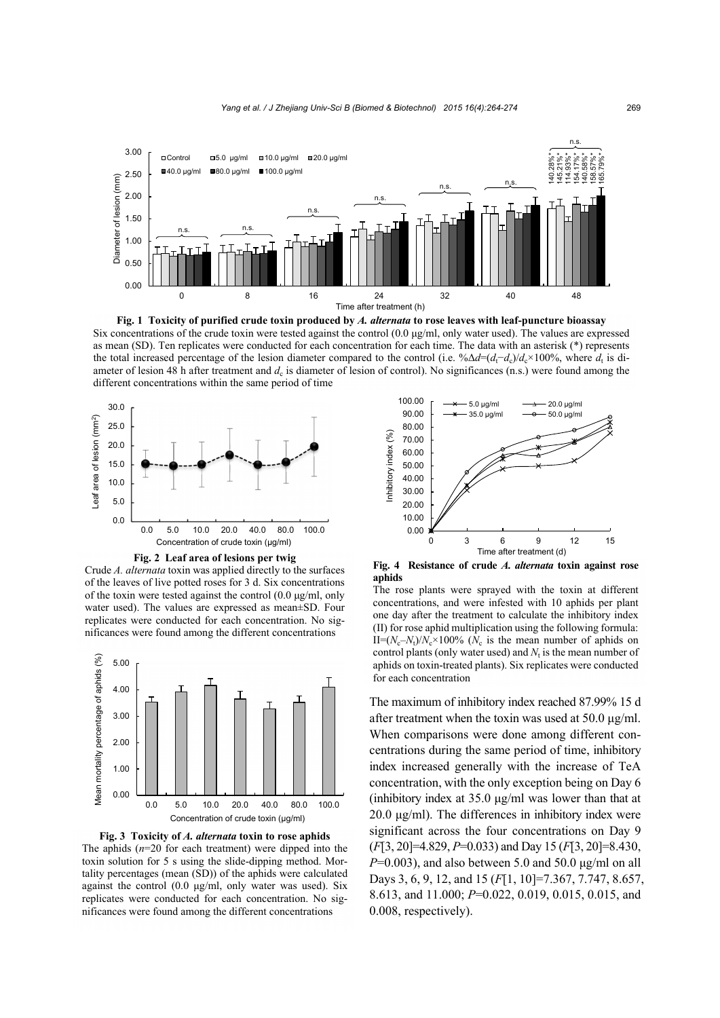

**Fig. 1 Toxicity of purified crude toxin produced by** *A. alternata* **to rose leaves with leaf-puncture bioassay** Six concentrations of the crude toxin were tested against the control  $(0.0 \,\mu\text{g/ml})$ , only water used). The values are expressed as mean (SD). Ten replicates were conducted for each concentration for each time. The data with an asterisk (\*) represents the total increased percentage of the lesion diameter compared to the control (i.e. % $\Delta d = (d_1 - d_c)/d_c \times 100\%$ , where  $d_t$  is diameter of lesion 48 h after treatment and  $d<sub>c</sub>$  is diameter of lesion of control). No significances (n.s.) were found among the different concentrations within the same period of time



Crude *A. alternata* toxin was applied directly to the surfaces of the leaves of live potted roses for 3 d. Six concentrations of the toxin were tested against the control  $(0.0 \mu g/ml)$ , only water used). The values are expressed as mean±SD. Four

replicates were conducted for each concentration. No significances were found among the different concentrations



**Fig. 3 Toxicity of** *A. alternata* **toxin to rose aphids** The aphids (*n*=20 for each treatment) were dipped into the toxin solution for 5 s using the slide-dipping method. Mortality percentages (mean (SD)) of the aphids were calculated against the control  $(0.0 \text{ µg/ml})$ , only water was used). Six replicates were conducted for each concentration. No significances were found among the different concentrations



**Fig. 4 Resistance of crude** *A. alternata* **toxin against rose aphids**

The rose plants were sprayed with the toxin at different concentrations, and were infested with 10 aphids per plant one day after the treatment to calculate the inhibitory index (II) for rose aphid multiplication using the following formula: II= $(N_c-N_t)/N_c \times 100\%$  (*N<sub>c</sub>* is the mean number of aphids on control plants (only water used) and  $N_t$  is the mean number of aphids on toxin-treated plants). Six replicates were conducted for each concentration

The maximum of inhibitory index reached 87.99% 15 d after treatment when the toxin was used at 50.0 μg/ml. When comparisons were done among different concentrations during the same period of time, inhibitory index increased generally with the increase of TeA concentration, with the only exception being on Day 6 (inhibitory index at 35.0 μg/ml was lower than that at 20.0 μg/ml). The differences in inhibitory index were significant across the four concentrations on Day 9 (*F*[3, 20]=4.829, *P*=0.033) and Day 15 (*F*[3, 20]=8.430, *P*=0.003), and also between 5.0 and 50.0 μg/ml on all Days 3, 6, 9, 12, and 15 (*F*[1, 10]=7.367, 7.747, 8.657, 8.613, and 11.000; *P*=0.022, 0.019, 0.015, 0.015, and 0.008, respectively).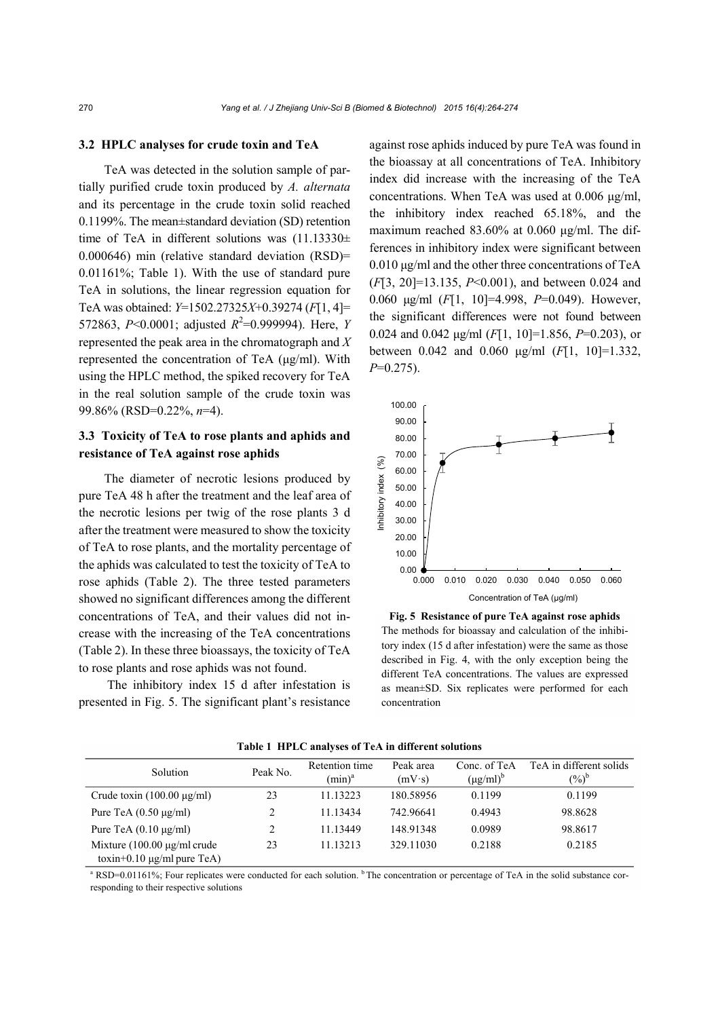#### **3.2 HPLC analyses for crude toxin and TeA**

TeA was detected in the solution sample of partially purified crude toxin produced by *A. alternata* and its percentage in the crude toxin solid reached 0.1199%. The mean±standard deviation (SD) retention time of TeA in different solutions was  $(11.13330\pm$ 0.000646) min (relative standard deviation (RSD)= 0.01161%; Table 1). With the use of standard pure TeA in solutions, the linear regression equation for TeA was obtained: *Y*=1502.27325*X*+0.39274 (*F*[1, 4]= 572863,  $P \le 0.0001$ ; adjusted  $R^2 = 0.999994$ ). Here, *Y* represented the peak area in the chromatograph and *X* represented the concentration of TeA (μg/ml). With using the HPLC method, the spiked recovery for TeA in the real solution sample of the crude toxin was 99.86% (RSD=0.22%, *n*=4).

## **3.3 Toxicity of TeA to rose plants and aphids and resistance of TeA against rose aphids**

The diameter of necrotic lesions produced by pure TeA 48 h after the treatment and the leaf area of the necrotic lesions per twig of the rose plants 3 d after the treatment were measured to show the toxicity of TeA to rose plants, and the mortality percentage of the aphids was calculated to test the toxicity of TeA to rose aphids (Table 2). The three tested parameters showed no significant differences among the different concentrations of TeA, and their values did not increase with the increasing of the TeA concentrations (Table 2). In these three bioassays, the toxicity of TeA to rose plants and rose aphids was not found.

The inhibitory index 15 d after infestation is presented in Fig. 5. The significant plant's resistance

against rose aphids induced by pure TeA was found in the bioassay at all concentrations of TeA. Inhibitory index did increase with the increasing of the TeA concentrations. When TeA was used at 0.006 μg/ml, the inhibitory index reached 65.18%, and the maximum reached 83.60% at 0.060 μg/ml. The differences in inhibitory index were significant between 0.010 μg/ml and the other three concentrations of TeA (*F*[3, 20]=13.135, *P*<0.001), and between 0.024 and 0.060 μg/ml (*F*[1, 10]=4.998, *P*=0.049). However, the significant differences were not found between 0.024 and 0.042 μg/ml (*F*[1, 10]=1.856, *P*=0.203), or between 0.042 and 0.060 μg/ml (*F*[1, 10]=1.332, *P*=0.275).





| Solution                                                            | Peak No. | Retention time<br>$(min)^a$ | Peak area<br>(mV·s) | Conc. of TeA<br>$(\mu g/ml)^b$ | TeA in different solids<br>$(\%)^{\flat}$ |
|---------------------------------------------------------------------|----------|-----------------------------|---------------------|--------------------------------|-------------------------------------------|
| Crude toxin $(100.00 \mu\text{g/ml})$                               | 23       | 11.13223                    | 180.58956           | 0.1199                         | 0.1199                                    |
| Pure TeA $(0.50 \mu g/ml)$                                          |          | 11.13434                    | 742.96641           | 0.4943                         | 98.8628                                   |
| Pure TeA $(0.10 \mu g/ml)$                                          |          | 11.13449                    | 148.91348           | 0.0989                         | 98.8617                                   |
| Mixture $(100.00 \mu g/ml$ crude<br>toxin+0.10 $\mu$ g/ml pure TeA) | 23       | 11.13213                    | 329.11030           | 0.2188                         | 0.2185                                    |

**Table 1 HPLC analyses of TeA in different solutions**

<sup>a</sup> RSD=0.01161%; Four replicates were conducted for each solution. <sup>b</sup> The concentration or percentage of TeA in the solid substance corresponding to their respective solutions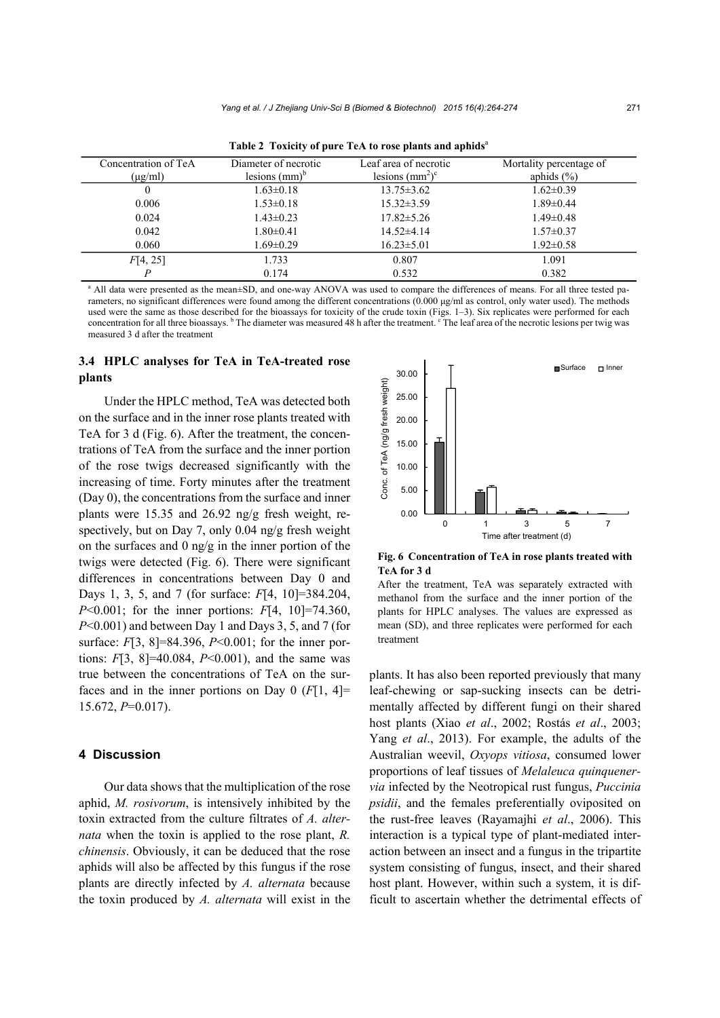| Concentration of TeA | Diameter of necrotic | Leaf area of necrotic | Mortality percentage of |
|----------------------|----------------------|-----------------------|-------------------------|
| $(\mu g/ml)$         | lesions $(mm)^b$     | lesions $(mm^2)^c$    | aphids $(\% )$          |
| 0                    | $1.63 \pm 0.18$      | $13.75 \pm 3.62$      | $1.62 \pm 0.39$         |
| 0.006                | $1.53 \pm 0.18$      | $15.32 \pm 3.59$      | $1.89 \pm 0.44$         |
| 0.024                | $1.43 \pm 0.23$      | $17.82 \pm 5.26$      | $1.49 \pm 0.48$         |
| 0.042                | $1.80 \pm 0.41$      | $14.52 \pm 4.14$      | $1.57 \pm 0.37$         |
| 0.060                | $1.69 \pm 0.29$      | $16.23 \pm 5.01$      | $1.92 \pm 0.58$         |
| F[4, 25]             | 1.733                | 0.807                 | 1.091                   |
|                      | 0.174                | 0.532                 | 0.382                   |

**Table 2 Toxicity of pure TeA to rose plants and aphids**<sup>a</sup>

a All data were presented as the mean±SD, and one-way ANOVA was used to compare the differences of means. For all three tested parameters, no significant differences were found among the different concentrations (0.000 μg/ml as control, only water used). The methods used were the same as those described for the bioassays for toxicity of the crude toxin (Figs. 1–3). Six replicates were performed for each concentration for all three bioassays. <sup>b</sup> The diameter was measured 48 h after the treatment. <sup>c</sup> The leaf area of the necrotic lesions per twig was measured 3 d after the treatment

## **3.4 HPLC analyses for TeA in TeA-treated rose plants**

Under the HPLC method, TeA was detected both on the surface and in the inner rose plants treated with TeA for 3 d (Fig. 6). After the treatment, the concentrations of TeA from the surface and the inner portion of the rose twigs decreased significantly with the increasing of time. Forty minutes after the treatment (Day 0), the concentrations from the surface and inner plants were 15.35 and 26.92 ng/g fresh weight, respectively, but on Day 7, only 0.04 ng/g fresh weight on the surfaces and 0 ng/g in the inner portion of the twigs were detected (Fig. 6). There were significant differences in concentrations between Day 0 and Days 1, 3, 5, and 7 (for surface: *F*[4, 10]=384.204, *P*<0.001; for the inner portions: *F*[4, 10]=74.360, *P*<0.001) and between Day 1 and Days 3, 5, and 7 (for surface: *F*[3, 8]=84.396, *P*<0.001; for the inner portions: *F*[3, 8]=40.084, *P*<0.001), and the same was true between the concentrations of TeA on the surfaces and in the inner portions on Day  $0$  ( $F[1, 4]$ = 15.672, *P*=0.017).

## **4 Discussion**

Our data shows that the multiplication of the rose aphid, *M. rosivorum*, is intensively inhibited by the toxin extracted from the culture filtrates of *A. alternata* when the toxin is applied to the rose plant, *R. chinensis*. Obviously, it can be deduced that the rose aphids will also be affected by this fungus if the rose plants are directly infected by *A. alternata* because the toxin produced by *A. alternata* will exist in the



**Fig. 6 Concentration of TeA in rose plants treated with TeA for 3 d** 

After the treatment, TeA was separately extracted with methanol from the surface and the inner portion of the plants for HPLC analyses. The values are expressed as mean (SD), and three replicates were performed for each treatment

plants. It has also been reported previously that many leaf-chewing or sap-sucking insects can be detrimentally affected by different fungi on their shared host plants (Xiao *et al*., 2002; Rostás *et al*., 2003; Yang *et al*., 2013). For example, the adults of the Australian weevil, *Oxyops vitiosa*, consumed lower proportions of leaf tissues of *Melaleuca quinquenervia* infected by the Neotropical rust fungus, *Puccinia psidii*, and the females preferentially oviposited on the rust-free leaves (Rayamajhi *et al*., 2006). This interaction is a typical type of plant-mediated interaction between an insect and a fungus in the tripartite system consisting of fungus, insect, and their shared host plant. However, within such a system, it is difficult to ascertain whether the detrimental effects of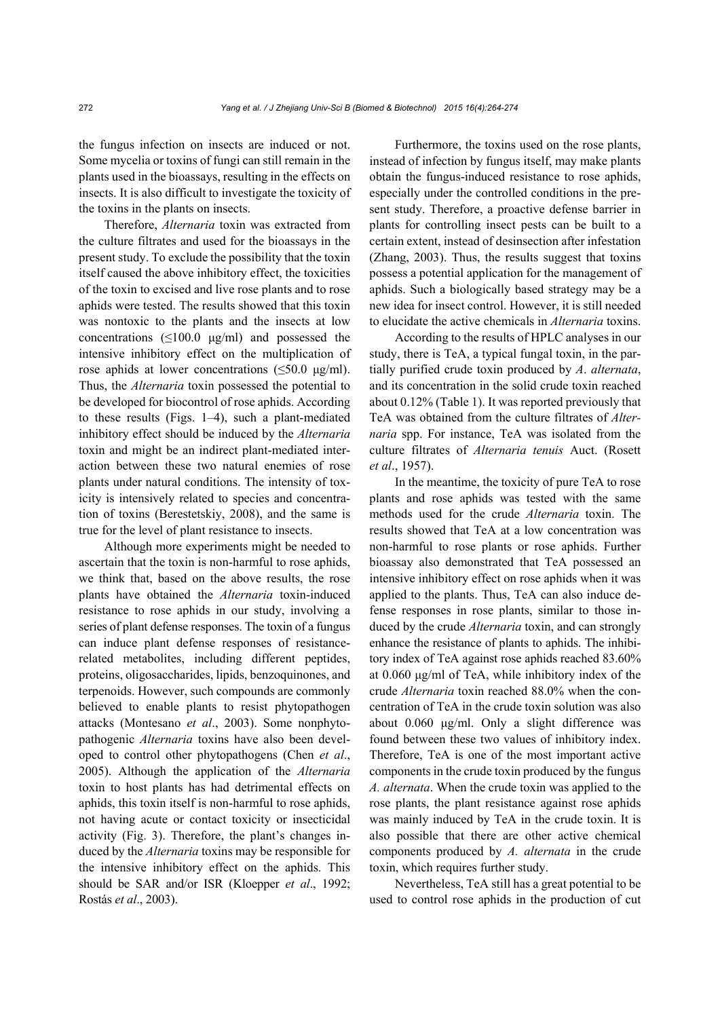the fungus infection on insects are induced or not. Some mycelia or toxins of fungi can still remain in the plants used in the bioassays, resulting in the effects on insects. It is also difficult to investigate the toxicity of the toxins in the plants on insects.

Therefore, *Alternaria* toxin was extracted from the culture filtrates and used for the bioassays in the present study. To exclude the possibility that the toxin itself caused the above inhibitory effect, the toxicities of the toxin to excised and live rose plants and to rose aphids were tested. The results showed that this toxin was nontoxic to the plants and the insects at low concentrations  $(\leq 100.0 \text{ µg/ml})$  and possessed the intensive inhibitory effect on the multiplication of rose aphids at lower concentrations  $(\leq 50.0 \text{ µg/ml})$ . Thus, the *Alternaria* toxin possessed the potential to be developed for biocontrol of rose aphids. According to these results (Figs. 1–4), such a plant-mediated inhibitory effect should be induced by the *Alternaria*  toxin and might be an indirect plant-mediated interaction between these two natural enemies of rose plants under natural conditions. The intensity of toxicity is intensively related to species and concentration of toxins (Berestetskiy, 2008), and the same is true for the level of plant resistance to insects.

Although more experiments might be needed to ascertain that the toxin is non-harmful to rose aphids, we think that, based on the above results, the rose plants have obtained the *Alternaria* toxin-induced resistance to rose aphids in our study, involving a series of plant defense responses. The toxin of a fungus can induce plant defense responses of resistancerelated metabolites, including different peptides, proteins, oligosaccharides, lipids, benzoquinones, and terpenoids. However, such compounds are commonly believed to enable plants to resist phytopathogen attacks (Montesano *et al*., 2003). Some nonphytopathogenic *Alternaria* toxins have also been developed to control other phytopathogens (Chen *et al*., 2005). Although the application of the *Alternaria*  toxin to host plants has had detrimental effects on aphids, this toxin itself is non-harmful to rose aphids, not having acute or contact toxicity or insecticidal activity (Fig. 3). Therefore, the plant's changes induced by the *Alternaria* toxins may be responsible for the intensive inhibitory effect on the aphids. This should be SAR and/or ISR (Kloepper *et al*., 1992; Rostás *et al*., 2003).

Furthermore, the toxins used on the rose plants, instead of infection by fungus itself, may make plants obtain the fungus-induced resistance to rose aphids, especially under the controlled conditions in the present study. Therefore, a proactive defense barrier in plants for controlling insect pests can be built to a certain extent, instead of desinsection after infestation (Zhang, 2003). Thus, the results suggest that toxins possess a potential application for the management of aphids. Such a biologically based strategy may be a new idea for insect control. However, it is still needed to elucidate the active chemicals in *Alternaria* toxins.

According to the results of HPLC analyses in our study, there is TeA, a typical fungal toxin, in the partially purified crude toxin produced by *A*. *alternata*, and its concentration in the solid crude toxin reached about 0.12% (Table 1). It was reported previously that TeA was obtained from the culture filtrates of *Alternaria* spp. For instance, TeA was isolated from the culture filtrates of *Alternaria tenuis* Auct. (Rosett *et al*., 1957).

In the meantime, the toxicity of pure TeA to rose plants and rose aphids was tested with the same methods used for the crude *Alternaria* toxin. The results showed that TeA at a low concentration was non-harmful to rose plants or rose aphids. Further bioassay also demonstrated that TeA possessed an intensive inhibitory effect on rose aphids when it was applied to the plants. Thus, TeA can also induce defense responses in rose plants, similar to those induced by the crude *Alternaria* toxin, and can strongly enhance the resistance of plants to aphids. The inhibitory index of TeA against rose aphids reached 83.60% at 0.060 μg/ml of TeA, while inhibitory index of the crude *Alternaria* toxin reached 88.0% when the concentration of TeA in the crude toxin solution was also about 0.060 μg/ml. Only a slight difference was found between these two values of inhibitory index. Therefore, TeA is one of the most important active components in the crude toxin produced by the fungus *A. alternata*. When the crude toxin was applied to the rose plants, the plant resistance against rose aphids was mainly induced by TeA in the crude toxin. It is also possible that there are other active chemical components produced by *A. alternata* in the crude toxin, which requires further study.

Nevertheless, TeA still has a great potential to be used to control rose aphids in the production of cut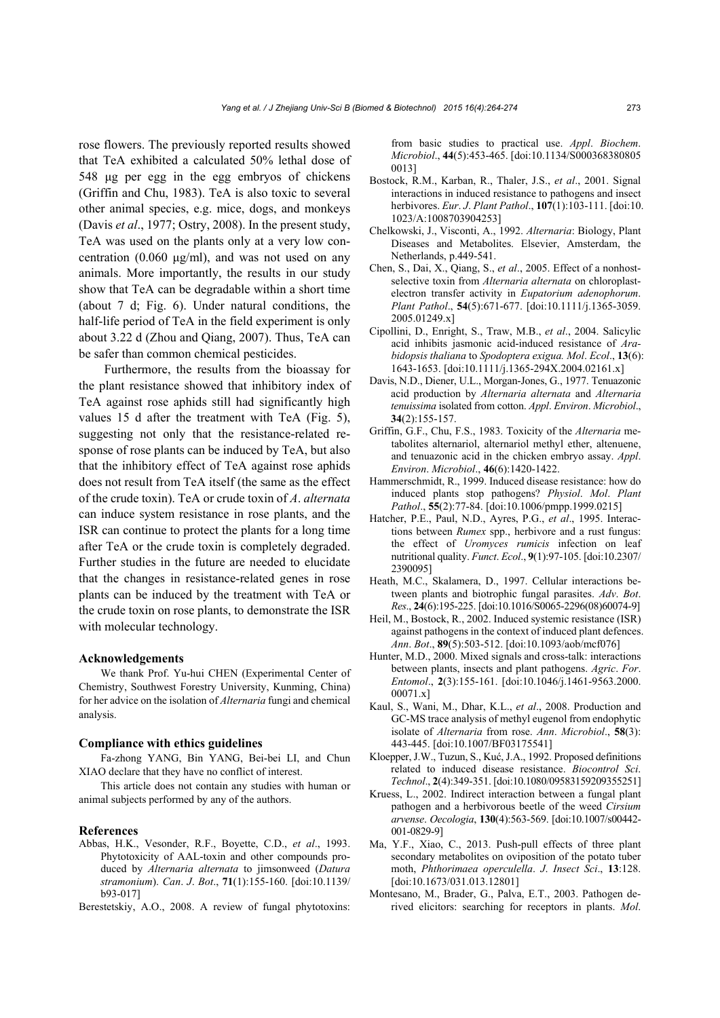rose flowers. The previously reported results showed that TeA exhibited a calculated 50% lethal dose of 548 μg per egg in the egg embryos of chickens (Griffin and Chu, 1983). TeA is also toxic to several other animal species, e.g. mice, dogs, and monkeys (Davis *et al*., 1977; Ostry, 2008). In the present study, TeA was used on the plants only at a very low concentration  $(0.060 \text{ µg/ml})$ , and was not used on any animals. More importantly, the results in our study show that TeA can be degradable within a short time (about 7 d; Fig. 6). Under natural conditions, the half-life period of TeA in the field experiment is only about 3.22 d (Zhou and Qiang, 2007). Thus, TeA can be safer than common chemical pesticides.

Furthermore, the results from the bioassay for the plant resistance showed that inhibitory index of TeA against rose aphids still had significantly high values 15 d after the treatment with TeA (Fig. 5), suggesting not only that the resistance-related response of rose plants can be induced by TeA, but also that the inhibitory effect of TeA against rose aphids does not result from TeA itself (the same as the effect of the crude toxin). TeA or crude toxin of *A*. *alternata* can induce system resistance in rose plants, and the ISR can continue to protect the plants for a long time after TeA or the crude toxin is completely degraded. Further studies in the future are needed to elucidate that the changes in resistance-related genes in rose plants can be induced by the treatment with TeA or the crude toxin on rose plants, to demonstrate the ISR with molecular technology.

#### **Acknowledgements**

We thank Prof. Yu-hui CHEN (Experimental Center of Chemistry, Southwest Forestry University, Kunming, China) for her advice on the isolation of *Alternaria* fungi and chemical analysis.

#### **Compliance with ethics guidelines**

Fa-zhong YANG, Bin YANG, Bei-bei LI, and Chun XIAO declare that they have no conflict of interest.

This article does not contain any studies with human or animal subjects performed by any of the authors.

#### **References**

- Abbas, H.K., Vesonder, R.F., Boyette, C.D., *et al*., 1993. Phytotoxicity of AAL-toxin and other compounds produced by *Alternaria alternata* to jimsonweed (*Datura stramonium*). *Can*. *J*. *Bot*., **71**(1):155-160. [\[doi:10.1139/](http://dx.doi.org/10.1139/b93-017) [b93-017\]](http://dx.doi.org/10.1139/b93-017)
- Berestetskiy, A.O., 2008. A review of fungal phytotoxins:

from basic studies to practical use. *Appl*. *Biochem*. *Microbiol*., **44**(5):453-465[. \[doi:10.1134/S000368380805](http://dx.doi.org/10.1134/S0003683808050013) [0013\]](http://dx.doi.org/10.1134/S0003683808050013)

- Bostock, R.M., Karban, R., Thaler, J.S., *et al*., 2001. Signal interactions in induced resistance to pathogens and insect herbivores. *Eur*. *J*. *Plant Pathol*., **107**(1):103-111[. \[doi:10.](http://dx.doi.org/10.1023/A:1008703904253) [1023/A:1008703904253\]](http://dx.doi.org/10.1023/A:1008703904253)
- Chelkowski, J., Visconti, A., 1992. *Alternaria*: Biology, Plant Diseases and Metabolites. Elsevier, Amsterdam, the Netherlands, p.449-541.
- Chen, S., Dai, X., Qiang, S., *et al*., 2005. Effect of a nonhostselective toxin from *Alternaria alternata* on chloroplastelectron transfer activity in *Eupatorium adenophorum*. *Plant Pathol*., **54**(5):671-677. [\[doi:10.1111/j.1365-3059.](http://dx.doi.org/10.1111/j.1365-3059.2005.01249.x) 2005.01249 x1
- Cipollini, D., Enright, S., Traw, M.B., *et al*., 2004. Salicylic acid inhibits jasmonic acid-induced resistance of *Arabidopsis thaliana* to *Spodoptera exigua. Mol*. *Ecol*., **13**(6): 1643-1653. [\[doi:10.1111/j.1365-294X.2004.02161.x\]](http://dx.doi.org/10.1111/j.1365-294X.2004.02161.x)
- Davis, N.D., Diener, U.L., Morgan-Jones, G., 1977. Tenuazonic acid production by *Alternaria alternata* and *Alternaria tenuissima* isolated from cotton. *Appl*. *Environ*. *Microbiol*., **34**(2):155-157.
- Griffin, G.F., Chu, F.S., 1983. Toxicity of the *Alternaria* metabolites alternariol, alternariol methyl ether, altenuene, and tenuazonic acid in the chicken embryo assay. *Appl*. *Environ*. *Microbiol*., **46**(6):1420-1422.
- Hammerschmidt, R., 1999. Induced disease resistance: how do induced plants stop pathogens? *Physiol*. *Mol*. *Plant Pathol*., **55**(2):77-84. [\[doi:10.1006/pmpp.1999.0215\]](http://dx.doi.org/10.1006/pmpp.1999.0215)
- Hatcher, P.E., Paul, N.D., Ayres, P.G., *et al*., 1995. Interactions between *Rumex* spp., herbivore and a rust fungus: the effect of *Uromyces rumicis* infection on leaf nutritional quality. *Funct*. *Ecol*., **9**(1):97-105. [\[doi:10.2307/](http://dx.doi.org/10.2307/2390095) [2390095\]](http://dx.doi.org/10.2307/2390095)
- Heath, M.C., Skalamera, D., 1997. Cellular interactions between plants and biotrophic fungal parasites. *Adv*. *Bot*. *Res*., **24**(6):195-225. [\[doi:10.1016/S0065-2296\(08\)60074-9\]](http://dx.doi.org/10.1016/S0065-2296(08)60074-9)
- Heil, M., Bostock, R., 2002. Induced systemic resistance (ISR) against pathogens in the context of induced plant defences. *Ann*. *Bot*., **89**(5):503-512. [\[doi:10.1093/aob/mcf076\]](http://dx.doi.org/10.1093/aob/mcf076)
- Hunter, M.D., 2000. Mixed signals and cross-talk: interactions between plants, insects and plant pathogens. *Agric*. *For*. *Entomol*., **2**(3):155-161. [\[doi:10.1046/j.1461-9563.2000.](http://dx.doi.org/10.1046/j.1461-9563.2000.00071.x) [00071.x\]](http://dx.doi.org/10.1046/j.1461-9563.2000.00071.x)
- Kaul, S., Wani, M., Dhar, K.L., *et al*., 2008. Production and GC-MS trace analysis of methyl eugenol from endophytic isolate of *Alternaria* from rose. *Ann*. *Microbiol*., **58**(3): 443-445. [\[doi:10.1007/BF03175541\]](http://dx.doi.org/10.1007/BF03175541)
- Kloepper, J.W., Tuzun, S., Kuć, J.A., 1992. Proposed definitions related to induced disease resistance. *Biocontrol Sci*. *Technol*., **2**(4):349-351. [\[doi:10.1080/09583159209355251\]](http://dx.doi.org/10.1080/09583159209355251)
- Kruess, L., 2002. Indirect interaction between a fungal plant pathogen and a herbivorous beetle of the weed *Cirsium arvense*. *Oecologia*, **130**(4):563-569. [\[doi:10.1007/s00442-](http://dx.doi.org/10.1007/s00442-001-0829-9) [001-0829-9\]](http://dx.doi.org/10.1007/s00442-001-0829-9)
- Ma, Y.F., Xiao, C., 2013. Push-pull effects of three plant secondary metabolites on oviposition of the potato tuber moth, *Phthorimaea operculella*. *J*. *Insect Sci*., **13**:128. [\[doi:10.1673/031.013.12801\]](http://dx.doi.org/10.1673/031.013.12801)
- Montesano, M., Brader, G., Palva, E.T., 2003. Pathogen derived elicitors: searching for receptors in plants. *Mol*.